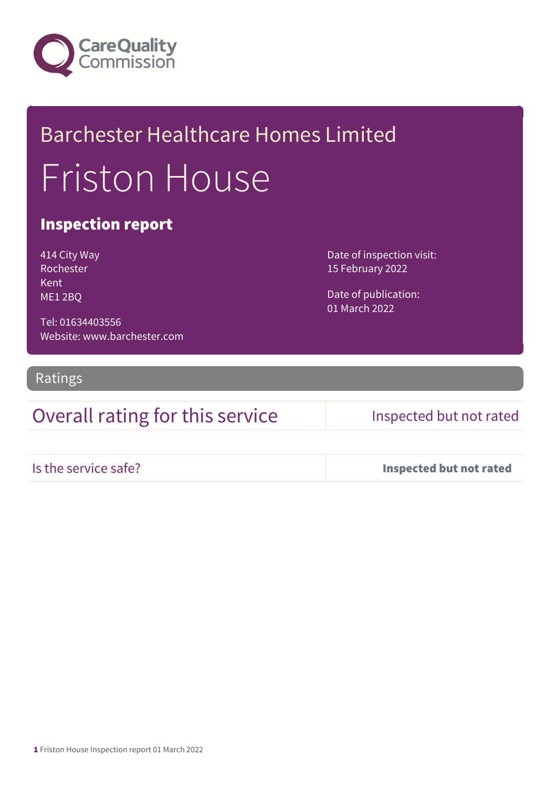

# Barchester Healthcare Homes Limited Friston House

## Inspection report

| 414 City Way |
|--------------|
| Rochester    |
| Kent         |
| ME12BQ       |

Date of inspection visit: 15 February 2022

Date of publication: 01 March 2022

Tel: 01634403556 Website: www.barchester.com

Ratings

## Overall rating for this service Inspected but not rated

Is the service safe? Inspected but not rated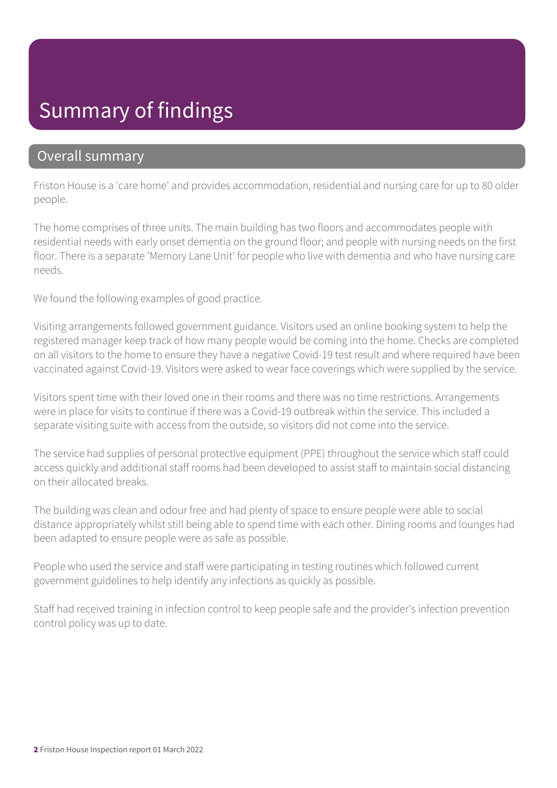# Summary of findings

### Overall summary

Friston House is a 'care home' and provides accommodation, residential and nursing care for up to 80 older people.

The home comprises of three units. The main building has two floors and accommodates people with residential needs with early onset dementia on the ground floor; and people with nursing needs on the first floor. There is a separate 'Memory Lane Unit' for people who live with dementia and who have nursing care needs.

We found the following examples of good practice.

Visiting arrangements followed government guidance. Visitors used an online booking system to help the registered manager keep track of how many people would be coming into the home. Checks are completed on all visitors to the home to ensure they have a negative Covid-19 test result and where required have been vaccinated against Covid-19. Visitors were asked to wear face coverings which were supplied by the service.

Visitors spent time with their loved one in their rooms and there was no time restrictions. Arrangements were in place for visits to continue if there was a Covid-19 outbreak within the service. This included a separate visiting suite with access from the outside, so visitors did not come into the service.

The service had supplies of personal protective equipment (PPE) throughout the service which staff could access quickly and additional staff rooms had been developed to assist staff to maintain social distancing on their allocated breaks.

The building was clean and odour free and had plenty of space to ensure people were able to social distance appropriately whilst still being able to spend time with each other. Dining rooms and lounges had been adapted to ensure people were as safe as possible.

People who used the service and staff were participating in testing routines which followed current government guidelines to help identify any infections as quickly as possible.

Staff had received training in infection control to keep people safe and the provider's infection prevention control policy was up to date.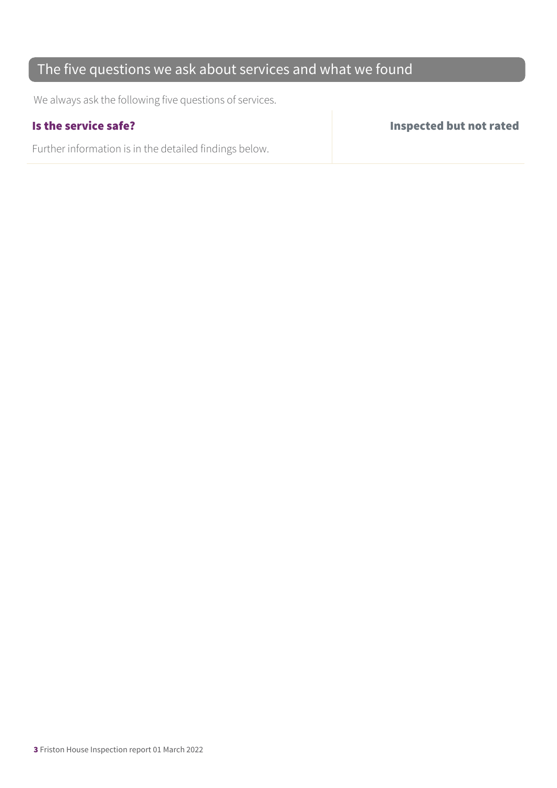## The five questions we ask about services and what we found

We always ask the following five questions of services.

Further information is in the detailed findings below.

Is the service safe? Inspected but not rated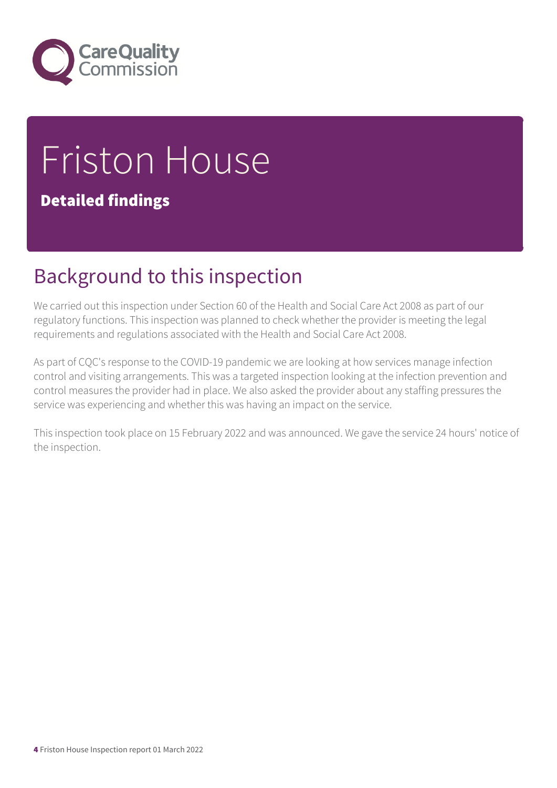

# Friston House

## Detailed findings

# Background to this inspection

We carried out this inspection under Section 60 of the Health and Social Care Act 2008 as part of our regulatory functions. This inspection was planned to check whether the provider is meeting the legal requirements and regulations associated with the Health and Social Care Act 2008.

As part of CQC's response to the COVID-19 pandemic we are looking at how services manage infection control and visiting arrangements. This was a targeted inspection looking at the infection prevention and control measures the provider had in place. We also asked the provider about any staffing pressures the service was experiencing and whether this was having an impact on the service.

This inspection took place on 15 February 2022 and was announced. We gave the service 24 hours' notice of the inspection.